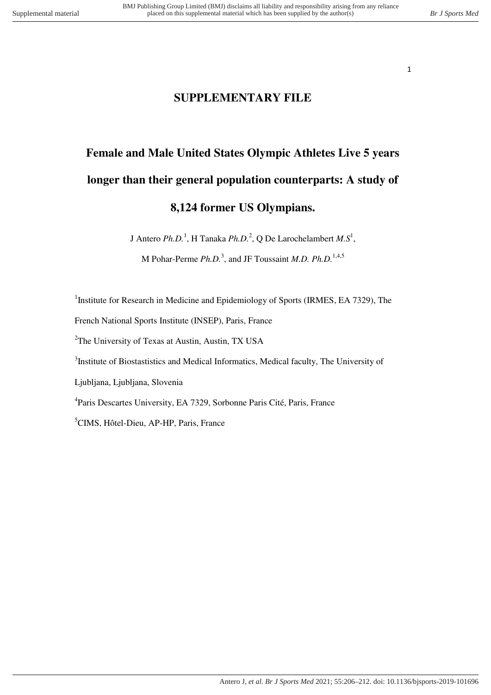## **SUPPLEMENTARY FILE**

# **Female and Male United States Olympic Athletes Live 5 years longer than their general population counterparts: A study of 8,124 former US Olympians.**

J Antero *Ph.D.*<sup>1</sup>, H Tanaka *Ph.D.*<sup>2</sup>, Q De Larochelambert *M.S*<sup>1</sup>,

M Pohar-Perme *Ph.D.*<sup>3</sup>, and JF Toussaint *M.D. Ph.D.*<sup>1,4,5</sup>

<sup>1</sup>Institute for Research in Medicine and Epidemiology of Sports (IRMES, EA 7329), The

French National Sports Institute (INSEP), Paris, France

<sup>2</sup>The University of Texas at Austin, Austin, TX USA

<sup>3</sup>Institute of Biostastistics and Medical Informatics, Medical faculty, The University of

Ljubljana, Ljubljana, Slovenia

4 Paris Descartes University, EA 7329, Sorbonne Paris Cité, Paris, France

<sup>5</sup>CIMS, Hôtel-Dieu, AP-HP, Paris, France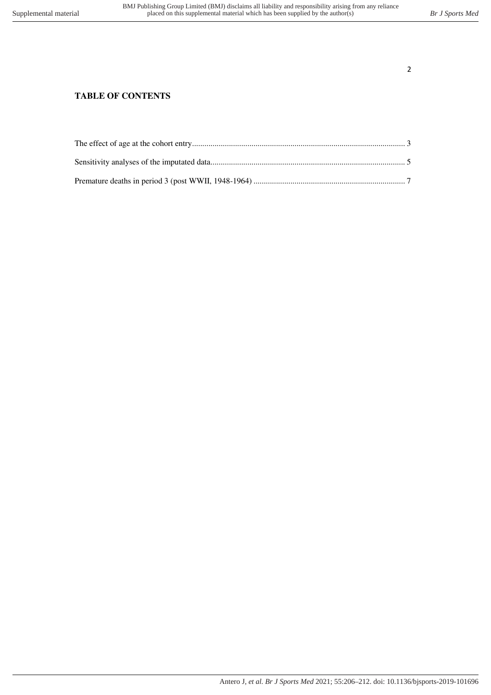### **TABLE OF CONTENTS**

<span id="page-1-0"></span>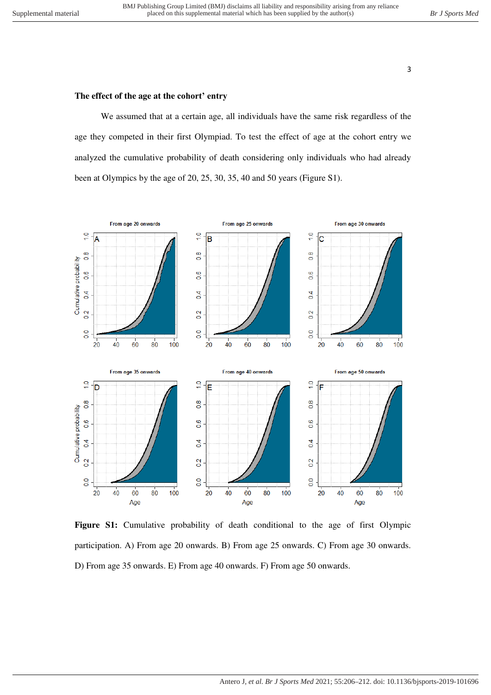#### **The effect of the age at the cohort' entry**

We assumed that at a certain age, all individuals have the same risk regardless of the age they competed in their first Olympiad. To test the effect of age at the cohort entry we analyzed the cumulative probability of death considering only individuals who had already been at Olympics by the age of 20, 25, 30, 35, 40 and 50 years (Figure S1).



**Figure S1:** Cumulative probability of death conditional to the age of first Olympic participation. A) From age 20 onwards. B) From age 25 onwards. C) From age 30 onwards. D) From age 35 onwards. E) From age 40 onwards. F) From age 50 onwards.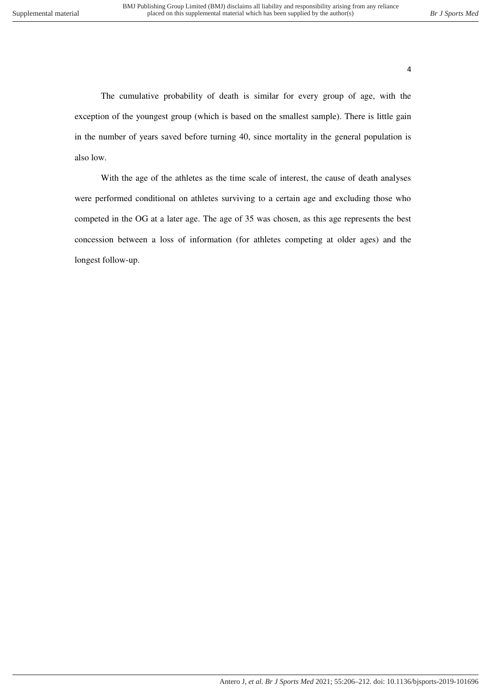The cumulative probability of death is similar for every group of age, with the exception of the youngest group (which is based on the smallest sample). There is little gain in the number of years saved before turning 40, since mortality in the general population is also low.

<span id="page-3-0"></span>With the age of the athletes as the time scale of interest, the cause of death analyses were performed conditional on athletes surviving to a certain age and excluding those who competed in the OG at a later age. The age of 35 was chosen, as this age represents the best concession between a loss of information (for athletes competing at older ages) and the longest follow-up.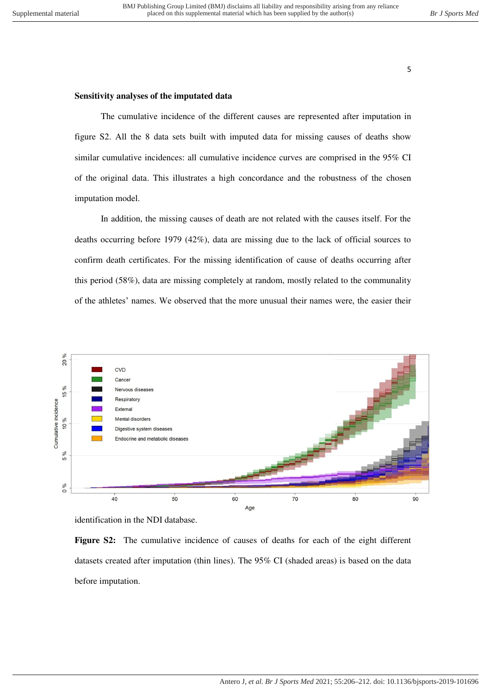#### **Sensitivity analyses of the imputated data**

The cumulative incidence of the different causes are represented after imputation in figure S2. All the 8 data sets built with imputed data for missing causes of deaths show similar cumulative incidences: all cumulative incidence curves are comprised in the 95% CI of the original data. This illustrates a high concordance and the robustness of the chosen imputation model.

In addition, the missing causes of death are not related with the causes itself. For the deaths occurring before 1979 (42%), data are missing due to the lack of official sources to confirm death certificates. For the missing identification of cause of deaths occurring after this period (58%), data are missing completely at random, mostly related to the communality of the athletes' names. We observed that the more unusual their names were, the easier their



identification in the NDI database.

**Figure S2:** The cumulative incidence of causes of deaths for each of the eight different datasets created after imputation (thin lines). The 95% CI (shaded areas) is based on the data before imputation.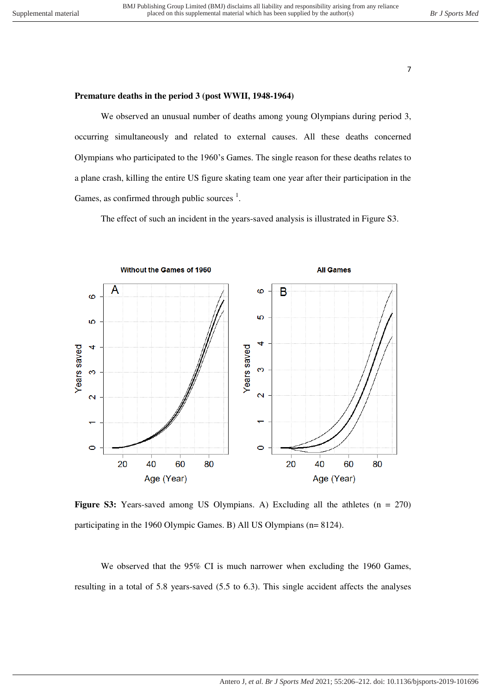#### **Premature deaths in the period 3 (post WWII, 1948-1964)**

We observed an unusual number of deaths among young Olympians during period 3, occurring simultaneously and related to external causes. All these deaths concerned Olympians who participated to the 1960's Games. The single reason for these deaths relates to a plane crash, killing the entire US figure skating team one year after their participation in the Games, as confirmed through public sources  $<sup>1</sup>$ .</sup>

The effect of such an incident in the years-saved analysis is illustrated in Figure S3.



**Figure S3:** Years-saved among US Olympians. A) Excluding all the athletes (n = 270) participating in the 1960 Olympic Games. B) All US Olympians (n= 8124).

We observed that the 95% CI is much narrower when excluding the 1960 Games, resulting in a total of 5.8 years-saved (5.5 to 6.3). This single accident affects the analyses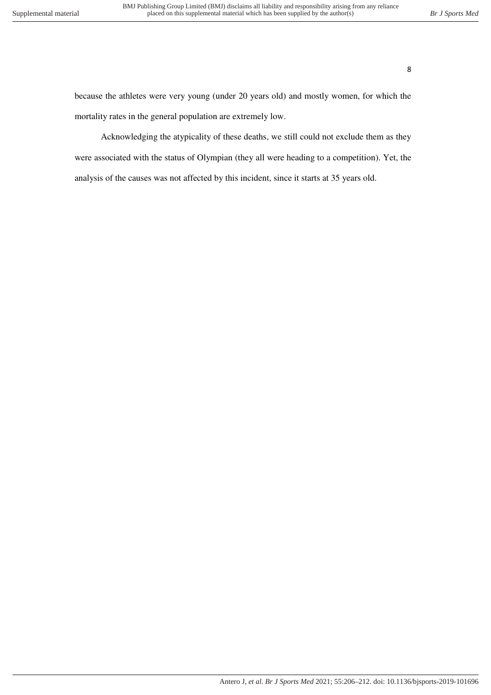because the athletes were very young (under 20 years old) and mostly women, for which the mortality rates in the general population are extremely low.

Acknowledging the atypicality of these deaths, we still could not exclude them as they were associated with the status of Olympian (they all were heading to a competition). Yet, the analysis of the causes was not affected by this incident, since it starts at 35 years old.